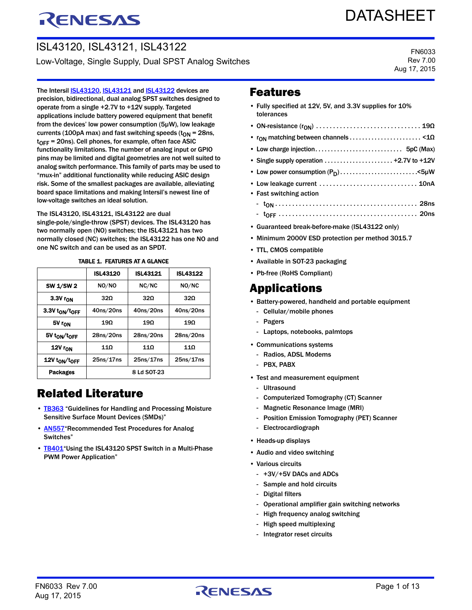# RENESAS

# DATASHEET

ISL43120, ISL43121, ISL43122 Low-Voltage, Single Supply, Dual SPST Analog Switches

FN6033 Rev 7.00 Aug 17, 2015

The Intersil **[ISL43120](http://www.intersil.com/products/ISL43120), ISL43121** and **ISL43122** devices are precision, bidirectional, dual analog SPST switches designed to operate from a single +2.7V to +12V supply. Targeted applications include battery powered equipment that benefit from the devices' low power consumption (5µW), low leakage currents (100pA max) and fast switching speeds ( $t_{ON}$  = 28ns,  $t_{\text{OFF}}$  = 20ns). Cell phones, for example, often face ASIC functionality limitations. The number of analog input or GPIO pins may be limited and digital geometries are not well suited to analog switch performance. This family of parts may be used to "mux-in" additional functionality while reducing ASIC design risk. Some of the smallest packages are available, alleviating board space limitations and making Intersil's newest line of low-voltage switches an ideal solution.

The ISL43120, ISL43121, ISL43122 are dual single-pole/single-throw (SPST) devices. The ISL43120 has two normally open (NO) switches; the ISL43121 has two normally closed (NC) switches; the ISL43122 has one NO and one NC switch and can be used as an SPDT.

|                      | <b>ISL43120</b> | <b>ISL43121</b> | <b>ISL43122</b> |  |  |
|----------------------|-----------------|-----------------|-----------------|--|--|
| <b>SW 1/SW 2</b>     | NO/NO           | NC/NC           | NO/NC           |  |  |
| 3.3V r <sub>ON</sub> | 320             | 320             | 320             |  |  |
| 3.3V ton/toFF        | 40ns/20ns       | 40ns/20ns       | 40ns/20ns       |  |  |
| 5V r <sub>ON</sub>   | 19Ω             | $19\Omega$      | 19Ω             |  |  |
| 5V ton/toFF          | 28ns/20ns       | 28ns/20ns       | 28ns/20ns       |  |  |
| 12V ron              | 110             | 110             | 11Ω             |  |  |
| 12V ton/toFF         | 25ns/17ns       | 25ns/17ns       | 25ns/17ns       |  |  |
| <b>Packages</b>      | 8 Ld SOT-23     |                 |                 |  |  |

#### TABLE 1. FEATURES AT A GLANCE

### Related Literature

- **IB363** "Guidelines for Handling and Processing Moisture Sensitive Surface Mount Devices (SMDs)"
- **AN557** "Recommended Test Procedures for Analog Switches"
- [TB401](http://www.intersil.com/content/dam/Intersil/documents/tb40/tb401.pdf) "Using the ISL43120 SPST Switch in a Multi-Phase PWM Power Application"

### Features

- Fully specified at 12V, 5V, and 3.3V supplies for 10% tolerances
- ON-resistance (rON) . . . . . . . . . . . . . . . . . . . . . . . . . . . . . . . 19Ω • rON matching between channels . . . . . . . . . . . . . . . . . . . . . . . <1Ω • Low charge injection. . . . . . . . . . . . . . . . . . . . . . . . . . . . 5pC (Max) • Single supply operation . . . . . . . . . . . . . . . . . . . . . . +2.7V to +12V • Low power consumption  $(P_D)$ .................................<5µW • Low leakage current . . . . . . . . . . . . . . . . . . . . . . . . . . . . . 10nA • Fast switching action - tON . . . . . . . . . . . . . . . . . . . . . . . . . . . . . . . . . . . . . . . . . . 28ns - tOFF . . . . . . . . . . . . . . . . . . . . . . . . . . . . . . . . . . . . . . . . . 20ns • Guaranteed break-before-make (ISL43122 only)
- Minimum 2000V ESD protection per method 3015.7
- TTL, CMOS compatible
- Available in SOT-23 packaging
- Pb-free (RoHS Compliant)

### Applications

- Battery-powered, handheld and portable equipment
	- Cellular/mobile phones
	- Pagers
	- Laptops, notebooks, palmtops
- Communications systems
	- Radios, ADSL Modems
	- PBX, PABX
- Test and measurement equipment
	- Ultrasound
	- Computerized Tomography (CT) Scanner
	- Magnetic Resonance Image (MRI)
	- Position Emission Tomography (PET) Scanner
	- Electrocardiograph
- Heads-up displays
- Audio and video switching
- Various circuits
	- +3V/+5V DACs and ADCs
	- Sample and hold circuits
- Digital filters
- Operational amplifier gain switching networks
- High frequency analog switching
- High speed multiplexing
- Integrator reset circuits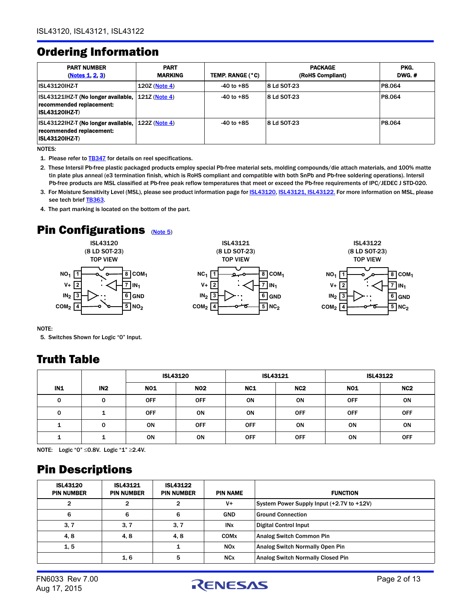### <span id="page-1-5"></span>Ordering Information

| <b>PART NUMBER</b><br>(Notes 1, 2, 3)                                                    | <b>PART</b><br><b>MARKING</b> | TEMP. RANGE (°C) | <b>PACKAGE</b><br>(RoHS Compliant) | PKG.<br><b>DWG.#</b> |
|------------------------------------------------------------------------------------------|-------------------------------|------------------|------------------------------------|----------------------|
| <b>ISL43120IHZ-T</b>                                                                     | 120Z (Note 4)                 | $-40$ to $+85$   | 8 Ld SOT-23                        | P8.064               |
| ISL43121IHZ-T (No longer available,<br>recommended replacement:<br><b>ISL43120IHZ-T)</b> | 121Z (Note 4)                 | $-40$ to $+85$   | 8 Ld SOT-23                        | P8.064               |
| ISL43122IHZ-T (No longer available,<br>recommended replacement:<br><b>ISL43120IHZ-T)</b> | 1227 (Note 4)                 | $-40$ to $+85$   | 8 Ld SOT-23                        | P8.064               |

NOTES:

- <span id="page-1-1"></span>1. Please refer to **[TB347](http://www.intersil.com/content/dam/Intersil/documents/tb34/tb347.pdf)** for details on reel specifications.
- <span id="page-1-2"></span>2. These Intersil Pb-free plastic packaged products employ special Pb-free material sets, molding compounds/die attach materials, and 100% matte tin plate plus anneal (e3 termination finish, which is RoHS compliant and compatible with both SnPb and Pb-free soldering operations). Intersil Pb-free products are MSL classified at Pb-free peak reflow temperatures that meet or exceed the Pb-free requirements of IPC/JEDEC J STD-020.
- <span id="page-1-3"></span>3. For Moisture Sensitivity Level (MSL), please see product information page for **ISL43120, [ISL43121,](http://www.intersil.com/products/ISL43121#packaging) ISL43122**. For more information on MSL, please see tech brief [TB363.](http://www.intersil.com/content/dam/Intersil/documents/tb36/tb363.pdf)
- <span id="page-1-4"></span>4. The part marking is located on the bottom of the part.

## **Pin Configurations ([Note 5](#page-1-0))**







NOTE:

<span id="page-1-0"></span>5. Switches Shown for Logic "0" Input.

### Truth Table

|     |                 | <b>ISL43120</b> |            | <b>ISL43121</b> |                 |            | <b>ISL43122</b> |
|-----|-----------------|-----------------|------------|-----------------|-----------------|------------|-----------------|
| IN1 | IN <sub>2</sub> | <b>NO1</b>      | <b>NO2</b> | NC1             | NC <sub>2</sub> | <b>NO1</b> | NC <sub>2</sub> |
| 0   | 0               | <b>OFF</b>      | <b>OFF</b> | ON              | ON              | <b>OFF</b> | ON              |
| 0   |                 | <b>OFF</b>      | ON         | ON              | <b>OFF</b>      | <b>OFF</b> | <b>OFF</b>      |
|     | 0               | ON              | <b>OFF</b> | <b>OFF</b>      | ON              | ON         | ON              |
|     |                 | ON              | ON         | <b>OFF</b>      | <b>OFF</b>      | ON         | <b>OFF</b>      |

NOTE: Logic "0" ≤0.8V. Logic "1" ≥2.4V.

### Pin Descriptions

| <b>ISL43120</b><br><b>PIN NUMBER</b> | <b>ISL43121</b><br><b>PIN NUMBER</b> | <b>ISL43122</b><br><b>PIN NUMBER</b> | <b>PIN NAME</b>        | <b>FUNCTION</b>                           |
|--------------------------------------|--------------------------------------|--------------------------------------|------------------------|-------------------------------------------|
| 2                                    |                                      | 2                                    | V+                     | System Power Supply Input (+2.7V to +12V) |
| 6                                    | 6                                    | 6                                    | <b>GND</b>             | <b>Ground Connection</b>                  |
| 3, 7                                 | 3, 7                                 | 3, 7                                 | <b>IN</b> <sub>x</sub> | <b>Digital Control Input</b>              |
| 4,8                                  | 4.8                                  | 4,8                                  | COM <sub>x</sub>       | <b>Analog Switch Common Pin</b>           |
| 1, 5                                 |                                      | 1                                    | <b>NOx</b>             | <b>Analog Switch Normally Open Pin</b>    |
|                                      | 1, 6                                 | 5                                    | <b>NC<sub>x</sub></b>  | <b>Analog Switch Normally Closed Pin</b>  |

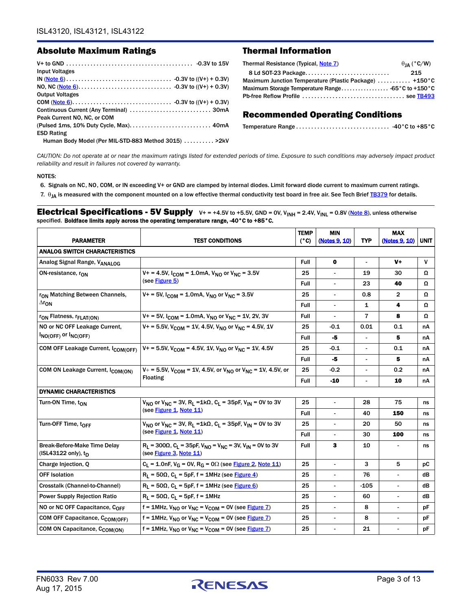#### Absolute Maximum Ratings Thermal Information

| <b>Input Voltages</b>                                 |
|-------------------------------------------------------|
|                                                       |
|                                                       |
| <b>Output Voltages</b>                                |
|                                                       |
|                                                       |
| Peak Current NO, NC, or COM                           |
|                                                       |
| <b>ESD Rating</b>                                     |
| Human Body Model (Per MIL-STD-883 Method 3015)  > 2kV |

| 215<br>Maximum Junction Temperature (Plastic Package)  +150°C<br>Maximum Storage Temperature Range -65°C to +150°C | $\theta_{IA}$ (°C/W) | Thermal Resistance (Typical, Note 7) |
|--------------------------------------------------------------------------------------------------------------------|----------------------|--------------------------------------|
|                                                                                                                    |                      |                                      |
|                                                                                                                    |                      |                                      |
|                                                                                                                    |                      |                                      |
|                                                                                                                    |                      |                                      |

#### Recommended Operating Conditions

*CAUTION: Do not operate at or near the maximum ratings listed for extended periods of time. Exposure to such conditions may adversely impact product reliability and result in failures not covered by warranty.*

#### NOTES:

<span id="page-2-0"></span>6. Signals on NC, NO, COM, or IN exceeding V+ or GND are clamped by internal diodes. Limit forward diode current to maximum current ratings.

<span id="page-2-1"></span>7.  $\theta_{JA}$  is measured with the component mounted on a low effective thermal conductivity test board in free air. See Tech Brief [TB379](http://www.intersil.com/content/dam/Intersil/documents/tb37/tb379.pdf) for details.

<span id="page-2-2"></span>**Electrical Specifications - 5V Supply**  $V+=+4.5V$  to  $+5.5V$ , GND = 0V, V<sub>INH</sub> = 2.4V, V<sub>INL</sub> = 0.8V [\(Note 8](#page-5-4)), unless otherwise specified. Boldface limits apply across the operating temperature range, -40°C to +85°C.

|                                                                        |                                                                                                                    | <b>TEMP</b>   | <b>MIN</b>     |                          | <b>MAX</b>               |              |
|------------------------------------------------------------------------|--------------------------------------------------------------------------------------------------------------------|---------------|----------------|--------------------------|--------------------------|--------------|
| <b>PARAMETER</b>                                                       | <b>TEST CONDITIONS</b>                                                                                             | $(^{\circ}C)$ | (Notes 9 10)   | <b>TYP</b>               | (Notes 9, 10)            | <b>UNIT</b>  |
| <b>ANALOG SWITCH CHARACTERISTICS</b>                                   |                                                                                                                    |               |                |                          |                          |              |
| Analog Signal Range, VANALOG                                           |                                                                                                                    | Full          | $\mathbf 0$    | $\overline{\phantom{a}}$ | $V+$                     | $\mathsf{V}$ |
| ON-resistance, r <sub>ON</sub>                                         | $V_+$ = 4.5V, $I_{COM}$ = 1.0mA, $V_{NO}$ or $V_{NC}$ = 3.5V                                                       | 25            |                | 19                       | 30                       | Ω            |
|                                                                        | (see Figure 5)                                                                                                     | Full          |                | 23                       | 40                       | Ω            |
| r <sub>ON</sub> Matching Between Channels,                             | $V_1 = 5V$ , $I_{COM} = 1.0 \text{mA}$ , $V_{NO}$ or $V_{NC} = 3.5 V$                                              | 25            | $\blacksquare$ | 0.8                      | $\overline{2}$           | Ω            |
| $\Delta r_{\rm ON}$                                                    |                                                                                                                    | Full          |                | 1                        | 4                        | Ω            |
| r <sub>ON</sub> Flatness, r <sub>FLAT(ON)</sub>                        | $V_1 = 5V$ , $I_{COM} = 1.0$ mA, $V_{NO}$ or $V_{NC} = 1V$ , 2V, 3V                                                | Full          |                | 7                        | 8                        | Ω            |
| NO or NC OFF Leakage Current,                                          | $V_+$ = 5.5V, V <sub>COM</sub> = 1V, 4.5V, V <sub>NO</sub> or V <sub>NC</sub> = 4.5V, 1V                           | 25            | -0.1           | 0.01                     | 0.1                      | nA           |
| INO(OFF) Or INC(OFF)                                                   |                                                                                                                    | Full          | -5             |                          | 5                        | nA           |
| COM OFF Leakage Current, I <sub>COM(OFF)</sub>                         | $V_1 = 5.5V$ , $V_{COM} = 4.5V$ , 1V, $V_{NO}$ or $V_{NC} = 1V$ , 4.5V                                             | 25            | $-0.1$         | $\blacksquare$           | 0.1                      | nA           |
|                                                                        |                                                                                                                    | Full          | -5             |                          | 5                        | nA           |
| COM ON Leakage Current, I <sub>COM(ON)</sub>                           | $V_+$ = 5.5V, V <sub>COM</sub> = 1V, 4.5V, or V <sub>NO</sub> or V <sub>NC</sub> = 1V, 4.5V, or<br><b>Floating</b> | 25            | $-0.2$         |                          | 0.2                      | nA           |
|                                                                        |                                                                                                                    | Full          | $-10$          | $\blacksquare$           | 10                       | nA           |
| <b>DYNAMIC CHARACTERISTICS</b>                                         |                                                                                                                    |               |                |                          |                          |              |
| Turn-ON Time, ton                                                      | $V_{NQ}$ or $V_{NC}$ = 3V, R <sub>1</sub> = 1k $\Omega$ , C <sub>1</sub> = 35pF, V <sub>IN</sub> = 0V to 3V        | 25            | $\mathbf{r}$   | 28                       | 75                       | ns           |
|                                                                        | (see Figure 1, Note 11)                                                                                            | Full          |                | 40                       | 150                      | ns           |
| Turn-OFF Time, toFF                                                    | $V_{NO}$ or $V_{NC}$ = 3V, R <sub>1</sub> = 1kΩ, C <sub>1</sub> = 35pF, V <sub>IN</sub> = 0V to 3V                 | 25            |                | 20                       | 50                       | ns           |
|                                                                        | (see Figure 1, Note 11)                                                                                            | Full          | $\blacksquare$ | 30                       | 100                      | ns           |
| <b>Break-Before-Make Time Delay</b><br>(ISL43122 only), t <sub>D</sub> | $R_L$ = 300 $\Omega$ , $C_L$ = 35pF, $V_{NO}$ = $V_{NC}$ = 3V, $V_{IN}$ = 0V to 3V<br>(see Figure 3, Note 11)      | Full          | 3              | 10                       |                          | ns           |
| Charge Injection, Q                                                    | $C_L$ = 1.0nF, $V_G$ = 0V, R <sub>G</sub> = 0 $\Omega$ (see Figure 2, Note 11)                                     | 25            | $\overline{a}$ | 3                        | 5                        | рC           |
| <b>OFF Isolation</b>                                                   | $R_L$ = 50 $\Omega$ , C <sub>L</sub> = 5pF, f = 1MHz (see Figure 4)                                                | 25            | $\blacksquare$ | 76                       | $\overline{\phantom{0}}$ | dΒ           |
| Crosstalk (Channel-to-Channel)                                         | $R_1$ = 50 $\Omega$ , C <sub>1</sub> = 5pF, f = 1MHz (see Figure 6)                                                | 25            |                | $-105$                   |                          | dB           |
| <b>Power Supply Rejection Ratio</b>                                    | $R_1 = 50\Omega$ , $C_1 = 5pF$ , $f = 1MHz$                                                                        | 25            |                | 60                       | $\overline{\phantom{0}}$ | dB           |
| NO or NC OFF Capacitance, $C_{\text{OFF}}$                             | $f = 1$ MHz, $V_{NO}$ or $V_{NC} = V_{COM} = 0V$ (see Figure 7)                                                    | 25            | $\blacksquare$ | 8                        | $\overline{\phantom{a}}$ | рF           |
| COM OFF Capacitance, C <sub>COM(OFF)</sub>                             | $f = 1$ MHz, V <sub>NO</sub> or V <sub>NC</sub> = V <sub>COM</sub> = 0V (see Figure 7)                             | 25            |                | 8                        |                          | pF           |
| COM ON Capacitance, C <sub>COM(ON)</sub>                               | f = 1MHz, $V_{NO}$ or $V_{NC}$ = $V_{COM}$ = 0V (see Figure 7)                                                     | 25            |                | 21                       | $\overline{\phantom{0}}$ | pF           |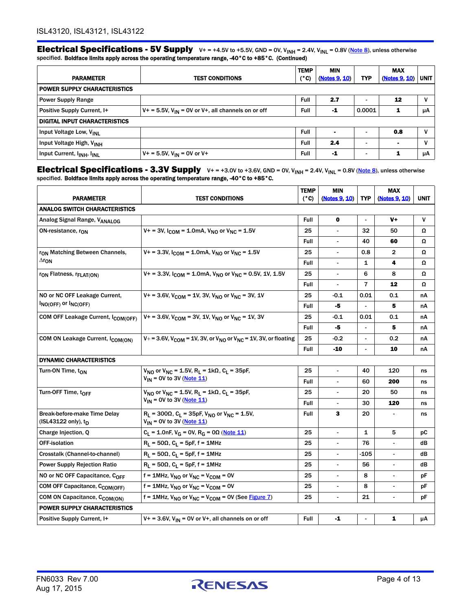**Electrical Specifications - 5V Supply**  $V+=+4.5V$  to +5.5V, GND = 0V, V<sub>INH</sub> = 2.4V, V<sub>INL</sub> = 0.8V (Note 8), unless otherwise specified. Boldface limits apply across the operating temperature range, -40°C to +85°C. (Continued)

|                                                    |                                                            | <b>TEMP</b> | <b>MIN</b>    |            | <b>MAX</b>     |             |
|----------------------------------------------------|------------------------------------------------------------|-------------|---------------|------------|----------------|-------------|
| <b>PARAMETER</b>                                   | <b>TEST CONDITIONS</b>                                     | (°C)        | (Notes 9, 10) | <b>TYP</b> | (Notes 9, 10)  | <b>UNIT</b> |
| <b>POWER SUPPLY CHARACTERISTICS</b>                |                                                            |             |               |            |                |             |
| <b>Power Supply Range</b>                          |                                                            | Full        | 2.7           |            | 12             | V           |
| Positive Supply Current, I+                        | $V_1 = 5.5V$ , $V_{IN} = 0V$ or V+, all channels on or off | Full        | -1            | 0.0001     | 1              | μA          |
| <b>DIGITAL INPUT CHARACTERISTICS</b>               |                                                            |             |               |            |                |             |
| Input Voltage Low, V <sub>INL</sub>                |                                                            | Full        |               |            | 0.8            |             |
| Input Voltage High, V <sub>INH</sub>               |                                                            | Full        | 2.4           |            | $\blacksquare$ | V           |
| Input Current, I <sub>INH</sub> , I <sub>INL</sub> | $V + = 5.5V$ , $V_{IN} = 0V$ or $V +$                      | <b>Full</b> | -1            |            | 1              | μA          |

Electrical Specifications - 3.3V Supply  $V+=+3.0V$  to  $+3.6V$ , GND = 0V,  $V_{INH}$  = 2.4V,  $V_{INL}$  = 0.8V ([Note 8](#page-5-4)), unless otherwise specified. Boldface limits apply across the operating temperature range, -40°C to +85°C.

|                                                     |                                                                                                                           | <b>TEMP</b> | <b>MIN</b>               |                | <b>MAX</b>               |              |
|-----------------------------------------------------|---------------------------------------------------------------------------------------------------------------------------|-------------|--------------------------|----------------|--------------------------|--------------|
| <b>PARAMETER</b>                                    | <b>TEST CONDITIONS</b>                                                                                                    | (°C)        | (Notes 9, 10)            | <b>TYP</b>     | (Notes 9, 10)            | <b>UNIT</b>  |
| ANALOG SWITCH CHARACTERISTICS                       |                                                                                                                           |             |                          |                |                          |              |
| Analog Signal Range, VANALOG                        |                                                                                                                           | Full        | $\mathbf 0$              | $\sim$         | $V+$                     | $\mathsf{v}$ |
| ON-resistance, r <sub>ON</sub>                      | $V_1 = 3V$ , $I_{COM} = 1.0 \text{mA}$ , $V_{NO}$ or $V_{NC} = 1.5V$                                                      | 25          |                          | 32             | 50                       | Ω            |
|                                                     |                                                                                                                           | <b>Full</b> | $\blacksquare$           | 40             | 60                       | Ω            |
| r <sub>ON</sub> Matching Between Channels,          | $V_1 = 3.3V$ , $I_{COM} = 1.0mA$ , $V_{NO}$ or $V_{MC} = 1.5V$                                                            | 25          | $\overline{\phantom{a}}$ | 0.8            | $\overline{2}$           | Ω            |
| $\Delta r_{\rm ON}$                                 |                                                                                                                           | <b>Full</b> |                          | 1              | 4                        | Ω            |
| r <sub>ON</sub> Flatness, r <sub>FLAT(ON)</sub>     | $V_+$ = 3.3V, $I_{COM}$ = 1.0mA, $V_{NO}$ or $V_{NC}$ = 0.5V, 1V, 1.5V                                                    | 25          | $\overline{\phantom{a}}$ | 6              | 8                        | Ω            |
|                                                     |                                                                                                                           | Full        |                          | $\overline{7}$ | 12                       | Ω            |
| NO or NC OFF Leakage Current.                       | $V_1 = 3.6V$ , $V_{COM} = 1V$ , 3V, $V_{NO}$ or $V_{MC} = 3V$ , 1V                                                        | 25          | $-0.1$                   | 0.01           | 0.1                      | nА           |
| $I_{NO(OFF)}$ or $I_{NC(OFF)}$                      |                                                                                                                           | Full        | -5                       | $\sim$         | 5                        | nА           |
| COM OFF Leakage Current, I <sub>COM(OFF)</sub>      | $V_+$ = 3.6V, V <sub>COM</sub> = 3V, 1V, V <sub>NO</sub> or V <sub>NC</sub> = 1V, 3V                                      | 25          | $-0.1$                   | 0.01           | 0.1                      | nA           |
|                                                     |                                                                                                                           | Full        | -5                       |                | 5                        | nА           |
| COM ON Leakage Current, I <sub>COM(ON)</sub>        | $V_+$ = 3.6V, V <sub>COM</sub> = 1V, 3V, or V <sub>NO</sub> or V <sub>NC</sub> = 1V, 3V, or floating                      | 25          | -0.2                     |                | 0.2                      | nА           |
|                                                     |                                                                                                                           | <b>Full</b> | -10                      |                | 10                       | nA           |
| <b>DYNAMIC CHARACTERISTICS</b>                      |                                                                                                                           |             |                          |                |                          |              |
| Turn-ON Time, ton                                   | $V_{NO}$ or $V_{NC}$ = 1.5V, R <sub>L</sub> = 1kΩ, C <sub>L</sub> = 35pF,                                                 | 25          |                          | 40             | 120                      | ns           |
|                                                     | $V_{IN}$ = 0V to 3V (Note 11)                                                                                             | Full        | $\overline{\phantom{a}}$ | 60             | 200                      | ns           |
| Turn-OFF Time, toFF                                 | $V_{NO}$ or $V_{NC}$ = 1.5V, R <sub>L</sub> = 1k $\Omega$ , C <sub>L</sub> = 35pF,                                        | 25          |                          | 20             | 50                       | ns           |
|                                                     | $V_{IN}$ = 0V to 3V (Note 11)                                                                                             | Full        |                          | 30             | 120                      | ns           |
| Break-before-make Time Delay<br>(ISL43122 only), tp | $R_L$ = 300 $\Omega$ , C <sub>L</sub> = 35pF, V <sub>NO</sub> or V <sub>NC</sub> = 1.5V,<br>$V_{IN}$ = 0V to 3V (Note 11) | Full        | 3                        | 20             | $\overline{\phantom{a}}$ | ns           |
| Charge Injection, Q                                 | $C_L = 1.0$ nF, V <sub>G</sub> = 0V, R <sub>G</sub> = 0 $\Omega$ (Note 11)                                                | 25          | $\blacksquare$           | $\mathbf{1}$   | 5                        | рC           |
| <b>OFF-isolation</b>                                | $R_1 = 50\Omega$ , $C_1 = 5pF$ , $f = 1MHz$                                                                               | 25          |                          | 76             |                          | dВ           |
| Crosstalk (Channel-to-channel)                      | $R_1 = 50\Omega$ , $C_1 = 5pF$ , $f = 1MHz$                                                                               | 25          | $\overline{\phantom{a}}$ | -105           | $\overline{\phantom{a}}$ | dB           |
| <b>Power Supply Rejection Ratio</b>                 | $R_L = 50\Omega$ , $C_L = 5pF$ , $f = 1MHz$                                                                               | 25          | $\blacksquare$           | 56             | $\blacksquare$           | dB           |
| NO or NC OFF Capacitance, COFF                      | $f = 1$ MHz, $V_{NO}$ or $V_{NC} = V_{COM} = 0V$                                                                          | 25          | $\blacksquare$           | 8              | $\overline{\phantom{a}}$ | рF           |
| COM OFF Capacitance, C <sub>COM(OFF)</sub>          | $f = 1$ MHz, V <sub>NO</sub> or V <sub>NC</sub> = V <sub>COM</sub> = 0V                                                   | 25          | $\blacksquare$           | 8              | $\overline{\phantom{a}}$ | рF           |
| COM ON Capacitance, C <sub>COM(ON)</sub>            | $f = 1$ MHz, V <sub>NO</sub> or V <sub>NC</sub> = V <sub>COM</sub> = 0V (See Figure 7)                                    | 25          |                          | 21             |                          | рF           |
| <b>POWER SUPPLY CHARACTERISTICS</b>                 |                                                                                                                           |             |                          |                |                          |              |
| Positive Supply Current, I+                         | $V_+$ = 3.6V, V <sub>IN</sub> = 0V or V+, all channels on or off                                                          | Full        | -1                       | $\blacksquare$ | 1                        | μA           |

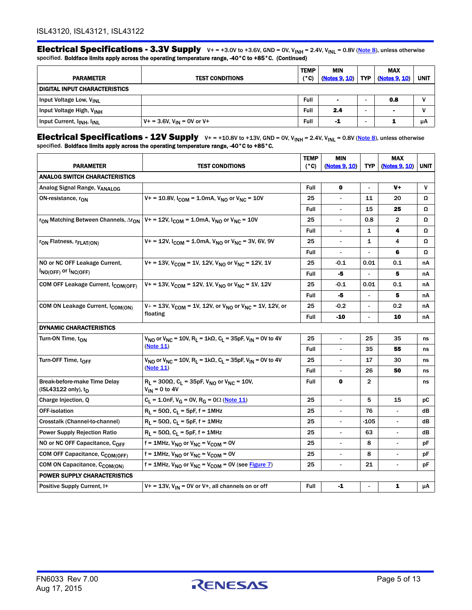Electrical Specifications - 3.3V Supply  $V+=+3.0V$  to  $+3.6V$ , GND = 0V, V<sub>INH</sub> = 2.4V, V<sub>INL</sub> = 0.8V (Note 8), unless otherwise specified. Boldface limits apply across the operating temperature range, -40°C to +85°C. (Continued)

|                                                    |                                   | <b>TEMP</b>   | <b>MIN</b>     |            | MAX           |             |
|----------------------------------------------------|-----------------------------------|---------------|----------------|------------|---------------|-------------|
| <b>PARAMETER</b>                                   | <b>TEST CONDITIONS</b>            | $(^{\circ}C)$ | (Notes 9, 10)  | <b>TYP</b> | (Notes 9, 10) | <b>UNIT</b> |
| <b>DIGITAL INPUT CHARACTERISTICS</b>               |                                   |               |                |            |               |             |
| Input Voltage Low, V <sub>INL</sub>                |                                   | Full          | $\blacksquare$ |            | 0.8           | v           |
| Input Voltage High, V <sub>INH</sub>               |                                   | Full          | 2.4            |            |               | ν           |
| Input Current, I <sub>INH</sub> , I <sub>INL</sub> | $V_+$ = 3.6V, $V_{IN}$ = 0V or V+ | Full          | -1             |            |               | μA          |

Electrical Specifications - 12V Supply  $v+=+10.8V$  to  $+13V$ , GND = 0V,  $V_{INH}$  = 2.4V,  $V_{INL}$  = 0.8V [\(Note 8\)](#page-5-4), unless otherwise specified. Boldface limits apply across the operating temperature range, -40°C to +85°C.

|                                                             |                                                                                                              | <b>TEMP</b>                                                                                                                                                                                                                                                                                                                                                                                                                                                                                    | <b>MIN</b>               |                          | <b>MAX</b>     |             |
|-------------------------------------------------------------|--------------------------------------------------------------------------------------------------------------|------------------------------------------------------------------------------------------------------------------------------------------------------------------------------------------------------------------------------------------------------------------------------------------------------------------------------------------------------------------------------------------------------------------------------------------------------------------------------------------------|--------------------------|--------------------------|----------------|-------------|
| <b>PARAMETER</b>                                            | <b>TEST CONDITIONS</b>                                                                                       | (°C)                                                                                                                                                                                                                                                                                                                                                                                                                                                                                           | (Notes 9, 10)            | TYP.                     | (Notes 9, 10)  | <b>UNIT</b> |
| <b>ANALOG SWITCH CHARACTERISTICS</b>                        |                                                                                                              |                                                                                                                                                                                                                                                                                                                                                                                                                                                                                                |                          |                          |                |             |
| Analog Signal Range, VANALOG                                |                                                                                                              | <b>Full</b>                                                                                                                                                                                                                                                                                                                                                                                                                                                                                    | $\mathbf o$              | $\overline{a}$           | V+             | V           |
| ON-resistance, r <sub>ON</sub>                              | $V_1 = 10.8V$ , $I_{COM} = 1.0mA$ , $V_{NO}$ or $V_{MC} = 10V$                                               | 25                                                                                                                                                                                                                                                                                                                                                                                                                                                                                             | $\blacksquare$           | 11                       | 20             | Ω           |
|                                                             |                                                                                                              | Full                                                                                                                                                                                                                                                                                                                                                                                                                                                                                           |                          | 15                       | 25             | Ω           |
| r <sub>ON</sub> Matching Between Channels, ∆r <sub>ON</sub> | $V_1 = 12V$ , $I_{COM} = 1.0 \text{mA}$ , $V_{NO}$ or $V_{NC} = 10V$                                         | 25                                                                                                                                                                                                                                                                                                                                                                                                                                                                                             | $\overline{\phantom{a}}$ | 0.8                      | $\overline{2}$ | Ω           |
|                                                             |                                                                                                              | <b>Full</b>                                                                                                                                                                                                                                                                                                                                                                                                                                                                                    | $\overline{\phantom{a}}$ | 1                        | 4              | Ω           |
| r <sub>ON</sub> Flatness, r <sub>FLAT(ON)</sub>             | $V_1 = 12V$ , $I_{COM} = 1.0 \text{mA}$ , $V_{NO}$ or $V_{MC} = 3V$ , 6V, 9V                                 | 25                                                                                                                                                                                                                                                                                                                                                                                                                                                                                             | $\overline{\phantom{0}}$ | 1                        | 4              | Ω           |
|                                                             |                                                                                                              | Full                                                                                                                                                                                                                                                                                                                                                                                                                                                                                           | $\overline{\phantom{a}}$ | $\overline{\phantom{0}}$ | 6              | Ω           |
| NO or NC OFF Leakage Current,                               | $V_1 = 13V$ , $V_{COM} = 1V$ , 12V, $V_{NO}$ or $V_{MC} = 12V$ , 1V                                          | 25                                                                                                                                                                                                                                                                                                                                                                                                                                                                                             | $-0.1$                   | 0.01                     | 0.1            | nA          |
| $I_{NO(OFF)}$ or $I_{NC(OFF)}$                              |                                                                                                              | Full                                                                                                                                                                                                                                                                                                                                                                                                                                                                                           | -5                       |                          | 5              | nA          |
| COM OFF Leakage Current, I <sub>COM(OFF)</sub>              | $V_1 = 13V$ , $V_{COM} = 12V$ , 1V, $V_{NO}$ or $V_{MC} = 1V$ , 12V                                          | 25                                                                                                                                                                                                                                                                                                                                                                                                                                                                                             | $-0.1$                   | 0.01                     | 0.1            | nA          |
|                                                             |                                                                                                              | <b>Full</b>                                                                                                                                                                                                                                                                                                                                                                                                                                                                                    | -5                       |                          | 5              | nA          |
| COM ON Leakage Current, I <sub>COM(ON)</sub>                | $V_+$ = 13V, V <sub>COM</sub> = 1V, 12V, or V <sub>NO</sub> or V <sub>NC</sub> = 1V, 12V, or<br>floating     | 25                                                                                                                                                                                                                                                                                                                                                                                                                                                                                             | $-0.2$                   | $\overline{\phantom{a}}$ | 0.2            | nA          |
|                                                             |                                                                                                              | Full                                                                                                                                                                                                                                                                                                                                                                                                                                                                                           | -10                      |                          | 10             | nA          |
| <b>DYNAMIC CHARACTERISTICS</b>                              |                                                                                                              |                                                                                                                                                                                                                                                                                                                                                                                                                                                                                                |                          |                          |                |             |
| Turn-ON Time, ton                                           | $V_{NQ}$ or $V_{NC}$ = 10V, R <sub>1</sub> = 1k $\Omega$ , C <sub>1</sub> = 35pF, V <sub>IN</sub> = 0V to 4V | 25                                                                                                                                                                                                                                                                                                                                                                                                                                                                                             | $\overline{\phantom{a}}$ | 25                       | 35             | ns          |
|                                                             | (Note 11)                                                                                                    | <b>Full</b>                                                                                                                                                                                                                                                                                                                                                                                                                                                                                    | $\overline{a}$           | 35                       | 55             | ns          |
| Turn-OFF Time, toFF                                         | $V_{NQ}$ or $V_{NC}$ = 10V, R <sub>1</sub> = 1k $\Omega$ , C <sub>1</sub> = 35pF, V <sub>IN</sub> = 0V to 4V | 25<br>17<br>30<br>$\overline{\phantom{a}}$<br>ns<br>Full<br>26<br>50<br>ns<br>$\mathbf{2}$<br>Full<br>0<br>ns<br>25<br>5<br>15<br>$\blacksquare$<br>рC<br>76<br>25<br>dB<br>25<br>-105<br>dB<br>$\overline{\phantom{a}}$<br>$\overline{a}$<br>25<br>63<br>$\blacksquare$<br>÷,<br>dB<br>25<br>8<br>рF<br>8<br>25<br>$\blacksquare$<br>$\overline{\phantom{a}}$<br>рF<br>25<br>21<br>рF<br>$\overline{\phantom{0}}$<br>$\overline{a}$<br>${\bf 1}$<br>Full<br>$-1$<br>$\mu$ A<br>$\blacksquare$ |                          |                          |                |             |
|                                                             | (Note 11)                                                                                                    |                                                                                                                                                                                                                                                                                                                                                                                                                                                                                                |                          |                          |                |             |
| Break-before-make Time Delay<br>(ISL43122 only), $t_D$      | $R_L$ = 300Ω, C <sub>L</sub> = 35pF, V <sub>NO</sub> or V <sub>NC</sub> = 10V,<br>$V_{IN}$ = 0 to 4V         |                                                                                                                                                                                                                                                                                                                                                                                                                                                                                                |                          |                          |                |             |
| Charge Injection, Q                                         | $C_L = 1.0$ nF, V <sub>G</sub> = 0V, R <sub>G</sub> = 0 $\Omega$ (Note 11)                                   |                                                                                                                                                                                                                                                                                                                                                                                                                                                                                                |                          |                          |                |             |
| <b>OFF-isolation</b>                                        | $R_L$ = 50 $\Omega$ , C <sub>L</sub> = 5pF, f = 1MHz                                                         |                                                                                                                                                                                                                                                                                                                                                                                                                                                                                                |                          |                          |                |             |
| Crosstalk (Channel-to-channel)                              | $R_L$ = 50 $\Omega$ , C <sub>L</sub> = 5pF, f = 1MHz                                                         |                                                                                                                                                                                                                                                                                                                                                                                                                                                                                                |                          |                          |                |             |
| <b>Power Supply Rejection Ratio</b>                         | $R_L$ = 50 $\Omega$ , C <sub>L</sub> = 5pF, f = 1MHz                                                         |                                                                                                                                                                                                                                                                                                                                                                                                                                                                                                |                          |                          |                |             |
| NO or NC OFF Capacitance, COFF                              | $f = 1$ MHz, V <sub>NO</sub> or V <sub>NC</sub> = V <sub>COM</sub> = 0V                                      |                                                                                                                                                                                                                                                                                                                                                                                                                                                                                                |                          |                          |                |             |
| COM OFF Capacitance, C <sub>COM(OFF)</sub>                  | $f = 1$ MHz, $V_{NO}$ or $V_{NC} = V_{COM} = 0V$                                                             |                                                                                                                                                                                                                                                                                                                                                                                                                                                                                                |                          |                          |                |             |
| COM ON Capacitance, CCOM(ON)                                | $f = 1$ MHz, V <sub>NO</sub> or V <sub>NC</sub> = V <sub>COM</sub> = 0V (see Figure 7)                       |                                                                                                                                                                                                                                                                                                                                                                                                                                                                                                |                          |                          |                |             |
| <b>POWER SUPPLY CHARACTERISTICS</b>                         |                                                                                                              |                                                                                                                                                                                                                                                                                                                                                                                                                                                                                                |                          |                          |                |             |
| Positive Supply Current, I+                                 | $V_1 = 13V$ , $V_{IN} = 0V$ or V <sup>+</sup> , all channels on or off                                       |                                                                                                                                                                                                                                                                                                                                                                                                                                                                                                |                          |                          |                |             |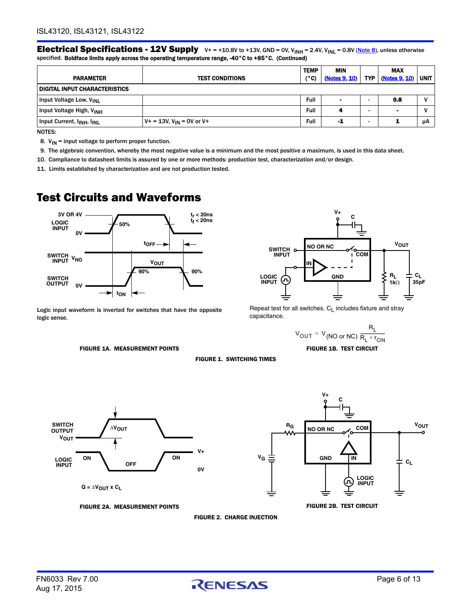Electrical Specifications - 12V Supply  $v+=+10.8V$  to  $+13V$ , GND = 0V, V<sub>INH</sub> = 2.4V, V<sub>INL</sub> = 0.8V (Note 8), unless otherwise specified. Boldface limits apply across the operating temperature range, -40°C to +85°C. (Continued)

| <b>PARAMETER</b>                                   | <b>TEST CONDITIONS</b>                  | <b>TEMP</b><br>(°C) | MIN<br>(Notes 9, 10) | TYP . | <b>MAX</b><br>(Notes 9, 10) | <b>UNIT</b> |  |
|----------------------------------------------------|-----------------------------------------|---------------------|----------------------|-------|-----------------------------|-------------|--|
| <b>DIGITAL INPUT CHARACTERISTICS</b>               |                                         |                     |                      |       |                             |             |  |
| Input Voltage Low, V <sub>INL</sub>                |                                         | Full                | $\blacksquare$       |       | 0.8                         |             |  |
| Input Voltage High, V <sub>INH</sub>               |                                         | Full                |                      |       | $\blacksquare$              |             |  |
| Input Current, I <sub>INH</sub> , I <sub>INL</sub> | $V_+$ = 13V, V <sub>IN</sub> = 0V or V+ | Full                | -1                   |       | -                           | μA          |  |

NOTES:

<span id="page-5-4"></span>8.  $V_{IN}$  = input voltage to perform proper function.

<span id="page-5-2"></span>9. The algebraic convention, whereby the most negative value is a minimum and the most positive a maximum, is used in this data sheet.

<span id="page-5-3"></span>10. Compliance to datasheet limits is assured by one or more methods: production test, characterization and/or design.

<span id="page-5-5"></span>11. Limits established by characterization and are not production tested.

### Test Circuits and Waveforms



Logic input waveform is inverted for switches that have the opposite logic sense.

<span id="page-5-0"></span>



Repeat test for all switches.  $C_L$  includes fixture and stray capacitance.

**V+**

$$
V_{\text{OUT}} = V_{\text{(NO or NC)}} \frac{R_{\text{L}}}{R_{\text{L}} + r_{\text{ON}}}
$$
  
FIGURE 1B. TEST CIRCUIT





<span id="page-5-1"></span>FIGURE 2A. MEASUREMENT POINTS FIGURE 2B. TEST CIRCUIT

FIGURE 2. CHARGE INJECTION

**FIGURE 1. SWITCHING TIMES** 

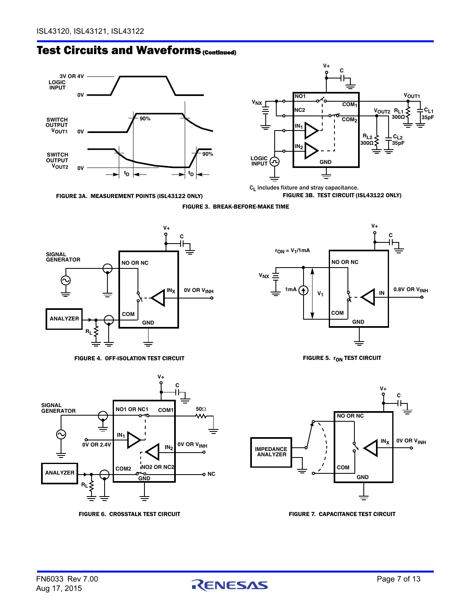### **Test Circuits and Waveforms (Continued)**



FIGURE 3A. MEASUREMENT POINTS (ISL43122 ONLY)



 $C_L$  includes fixture and stray capacitance. FIGURE 3B. TEST CIRCUIT (ISL43122 ONLY)

FIGURE 3. BREAK-BEFORE-MAKE TIME

<span id="page-6-1"></span>

FIGURE 4. OFF-ISOLATION TEST CIRCUIT FIGURE 5.  $r_{ON}$  test circuit

<span id="page-6-2"></span>

**V+ C** ╟┢



<span id="page-6-4"></span><span id="page-6-0"></span>

<span id="page-6-3"></span>FIGURE 6. CROSSTALK TEST CIRCUIT FIGURE 7. CAPACITANCE TEST CIRCUIT

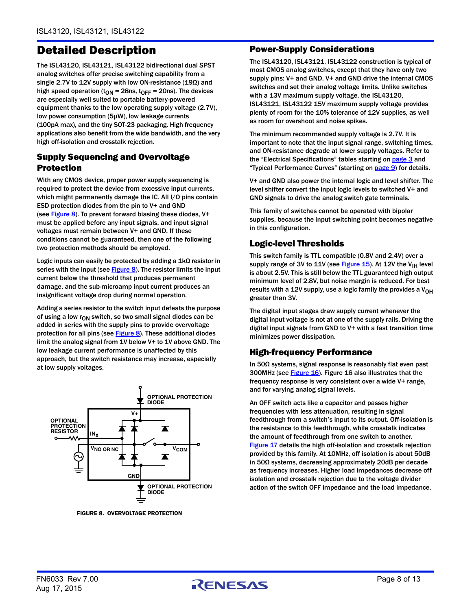### Detailed Description

The ISL43120, ISL43121, ISL43122 bidirectional dual SPST analog switches offer precise switching capability from a single 2.7V to 12V supply with low ON-resistance (19Ω) and high speed operation ( $t_{ON}$  = 28ns,  $t_{OFF}$  = 20ns). The devices are especially well suited to portable battery-powered equipment thanks to the low operating supply voltage (2.7V), low power consumption (5µW), low leakage currents (100pA max), and the tiny SOT-23 packaging. High frequency applications also benefit from the wide bandwidth, and the very high off-isolation and crosstalk rejection.

#### Supply Sequencing and Overvoltage Protection

With any CMOS device, proper power supply sequencing is required to protect the device from excessive input currents, which might permanently damage the IC. All I/O pins contain ESD protection diodes from the pin to V+ and GND (see  $Figure 8$ ). To prevent forward biasing these diodes, V+ must be applied before any input signals, and input signal voltages must remain between V+ and GND. If these conditions cannot be guaranteed, then one of the following two protection methods should be employed.

Logic inputs can easily be protected by adding a 1kΩ resistor in series with the input (see  $Figure 8$ ). The resistor limits the input current below the threshold that produces permanent damage, and the sub-microamp input current produces an insignificant voltage drop during normal operation.

Adding a series resistor to the switch input defeats the purpose of using a low  $r_{ON}$  switch, so two small signal diodes can be added in series with the supply pins to provide overvoltage protection for all pins (see [Figure 8](#page-7-0)). These additional diodes limit the analog signal from 1V below V+ to 1V above GND. The low leakage current performance is unaffected by this approach, but the switch resistance may increase, especially at low supply voltages.



<span id="page-7-0"></span>FIGURE 8. OVERVOLTAGE PROTECTION

#### Power-Supply Considerations

The ISL43120, ISL43121, ISL43122 construction is typical of most CMOS analog switches, except that they have only two supply pins: V+ and GND. V+ and GND drive the internal CMOS switches and set their analog voltage limits. Unlike switches with a 13V maximum supply voltage, the ISL43120, ISL43121, ISL43122 15V maximum supply voltage provides plenty of room for the 10% tolerance of 12V supplies, as well as room for overshoot and noise spikes.

The minimum recommended supply voltage is 2.7V. It is important to note that the input signal range, switching times, and ON-resistance degrade at lower supply voltages. Refer to the "Electrical Specifications" tables starting on [page 3](#page-2-2) and "Typical Performance Curves" (starting on [page 9\)](#page-8-0) for details.

V+ and GND also power the internal logic and level shifter. The level shifter convert the input logic levels to switched V+ and GND signals to drive the analog switch gate terminals.

This family of switches cannot be operated with bipolar supplies, because the input switching point becomes negative in this configuration.

#### Logic-level Thresholds

This switch family is TTL compatible (0.8V and 2.4V) over a supply range of 3V to  $11V$  (see [Figure 15\)](#page-9-0). At 12V the V<sub>IH</sub> level is about 2.5V. This is still below the TTL guaranteed high output minimum level of 2.8V, but noise margin is reduced. For best results with a 12V supply, use a logic family the provides a  $V_{OH}$ greater than 3V.

The digital input stages draw supply current whenever the digital input voltage is not at one of the supply rails. Driving the digital input signals from GND to V+ with a fast transition time minimizes power dissipation.

#### High-frequency Performance

In 50Ω systems, signal response is reasonably flat even past 300MHz (see [Figure 16\)](#page-9-1). Figure [16](#page-9-1) also illustrates that the frequency response is very consistent over a wide V+ range, and for varying analog signal levels.

An OFF switch acts like a capacitor and passes higher frequencies with less attenuation, resulting in signal feedthrough from a switch's input to its output. Off-isolation is the resistance to this feedthrough, while crosstalk indicates the amount of feedthrough from one switch to another. [Figure 17](#page-10-0) details the high off-isolation and crosstalk rejection provided by this family. At 10MHz, off isolation is about 50dB in 50Ω systems, decreasing approximately 20dB per decade as frequency increases. Higher load impedances decrease off isolation and crosstalk rejection due to the voltage divider action of the switch OFF impedance and the load impedance.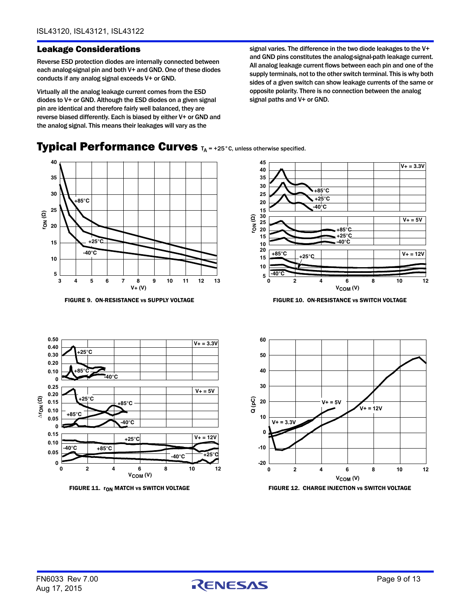#### Leakage Considerations

Reverse ESD protection diodes are internally connected between each analog-signal pin and both V+ and GND. One of these diodes conducts if any analog signal exceeds V+ or GND.

Virtually all the analog leakage current comes from the ESD diodes to V+ or GND. Although the ESD diodes on a given signal pin are identical and therefore fairly well balanced, they are reverse biased differently. Each is biased by either V+ or GND and the analog signal. This means their leakages will vary as the

<span id="page-8-0"></span>Typical Performance Curves TA = +25°C, unless otherwise specified.

signal varies. The difference in the two diode leakages to the V+ and GND pins constitutes the analog-signal-path leakage current. All analog leakage current flows between each pin and one of the supply terminals, not to the other switch terminal. This is why both sides of a given switch can show leakage currents of the same or opposite polarity. There is no connection between the analog signal paths and V+ or GND.

#### **rON (Ω) V+ (V) 35 25 15 5 3 4 5 6 7 8 9 10 11 12 13**  $+25^\circ$ **-40°C +85°C 10 20 30 40**



FIGURE 9. ON-RESISTANCE vs SUPPLY VOLTAGE FIGURE 10. ON-RESISTANCE vs SWITCH VOLTAGE





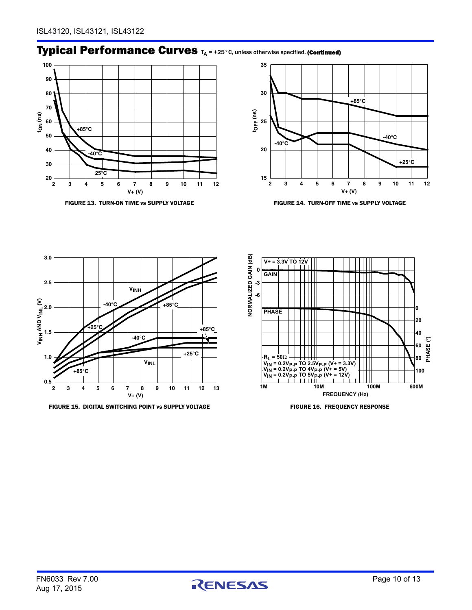### Typical Performance Curves TA = +25°C, unless otherwise specified. (Continued)





FIGURE 13. TURN-ON TIME vs SUPPLY VOLTAGE FIGURE 14. TURN-OFF TIME vs SUPPLY VOLTAGE



<span id="page-9-0"></span>FIGURE 15. DIGITAL SWITCHING POINT vs SUPPLY VOLTAGE FIGURE 16. FREQUENCY RESPONSE



<span id="page-9-1"></span>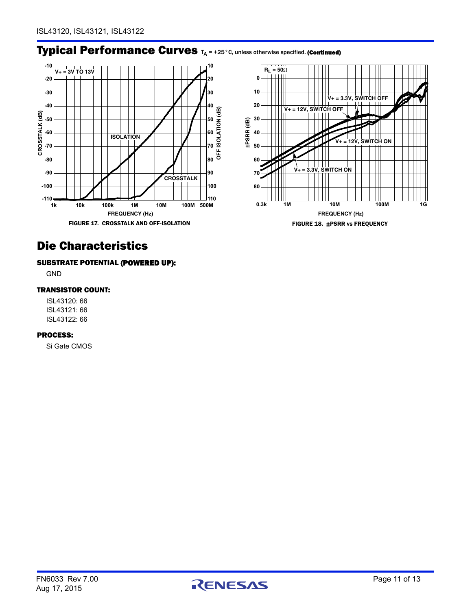### Typical Performance Curves TA = +25°C, unless otherwise specified. (Continued)



### <span id="page-10-0"></span>Die Characteristics

#### SUBSTRATE POTENTIAL (POWERED UP):

GND

#### TRANSISTOR COUNT:

ISL43120: 66 ISL43121: 66 ISL43122: 66

#### PROCESS:

Si Gate CMOS

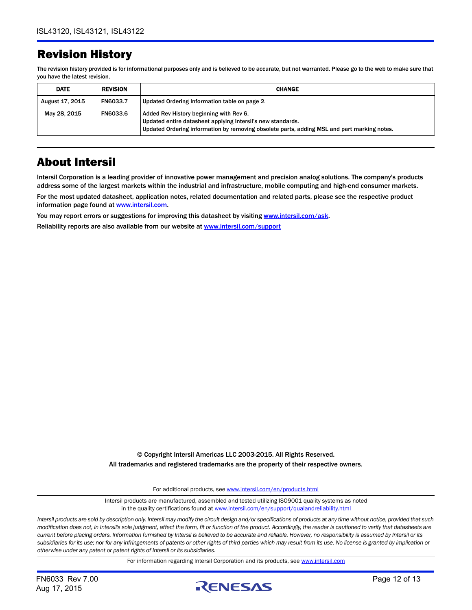### Revision History

The revision history provided is for informational purposes only and is believed to be accurate, but not warranted. Please go to the web to make sure that you have the latest revision.

| <b>DATE</b>     | <b>REVISION</b> | <b>CHANGE</b>                                                                                                                                                                                         |
|-----------------|-----------------|-------------------------------------------------------------------------------------------------------------------------------------------------------------------------------------------------------|
| August 17, 2015 | FN6033.7        | Updated Ordering Information table on page 2.                                                                                                                                                         |
| May 28, 2015    | <b>FN6033.6</b> | Added Rev History beginning with Rev 6.<br>Updated entire datasheet applying Intersil's new standards.<br>Updated Ordering information by removing obsolete parts, adding MSL and part marking notes. |

### About Intersil

Intersil Corporation is a leading provider of innovative power management and precision analog solutions. The company's products address some of the largest markets within the industrial and infrastructure, mobile computing and high-end consumer markets.

For the most updated datasheet, application notes, related documentation and related parts, please see the respective product information page found at [www.intersil.com.](www.intersil.com)

You may report errors or suggestions for improving this datasheet by visiting [www.intersil.com/ask](http://www.intersil.com/en/support.html?OrganizationID=784358&p=createnewticket&p_href=http%3A%2F%2Fwww.intersil.com%2Fen%2Fsupport.html).

Reliability reports are also available from our website at [www.intersil.com/support](http://www.intersil.com/en/support/qualandreliability.html#reliability)

© Copyright Intersil Americas LLC 2003-2015. All Rights Reserved. All trademarks and registered trademarks are the property of their respective owners.

For additional products, see [www.intersil.com/en/products.html](http://www.intersil.com/en/products.html?utm_source=Intersil&utm_medium=datasheet&utm_campaign=disclaimer-ds-footer)

[Intersil products are manufactured, assembled and tested utilizing ISO9001 quality systems as noted](http://www.intersil.com/en/products.html?utm_source=Intersil&utm_medium=datasheet&utm_campaign=disclaimer-ds-footer) in the quality certifications found at [www.intersil.com/en/support/qualandreliability.html](http://www.intersil.com/en/support/qualandreliability.html?utm_source=Intersil&utm_medium=datasheet&utm_campaign=disclaimer-ds-footer)

*Intersil products are sold by description only. Intersil may modify the circuit design and/or specifications of products at any time without notice, provided that such modification does not, in Intersil's sole judgment, affect the form, fit or function of the product. Accordingly, the reader is cautioned to verify that datasheets are current before placing orders. Information furnished by Intersil is believed to be accurate and reliable. However, no responsibility is assumed by Intersil or its subsidiaries for its use; nor for any infringements of patents or other rights of third parties which may result from its use. No license is granted by implication or otherwise under any patent or patent rights of Intersil or its subsidiaries.*

For information regarding Intersil Corporation and its products, see [www.intersil.com](http://www.intersil.com?utm_source=intersil&utm_medium=datasheet&utm_campaign=disclaimer-ds-footer)